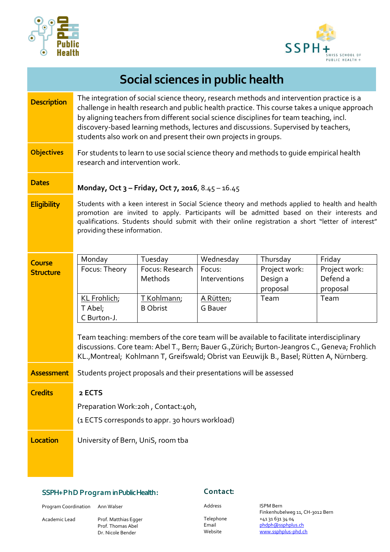



|  |  | Social sciences in public health |
|--|--|----------------------------------|
|  |  |                                  |

| <b>Description</b> | The integration of social science theory, research methods and intervention practice is a<br>challenge in health research and public health practice. This course takes a unique approach<br>by aligning teachers from different social science disciplines for team teaching, incl.<br>discovery-based learning methods, lectures and discussions. Supervised by teachers,<br>students also work on and present their own projects in groups. |                                                 |                         |                                       |                                       |  |  |
|--------------------|------------------------------------------------------------------------------------------------------------------------------------------------------------------------------------------------------------------------------------------------------------------------------------------------------------------------------------------------------------------------------------------------------------------------------------------------|-------------------------------------------------|-------------------------|---------------------------------------|---------------------------------------|--|--|
| <b>Objectives</b>  | For students to learn to use social science theory and methods to quide empirical health<br>research and intervention work.                                                                                                                                                                                                                                                                                                                    |                                                 |                         |                                       |                                       |  |  |
| <b>Dates</b>       | Monday, Oct 3 - Friday, Oct 7, 2016, 8.45 - 16.45                                                                                                                                                                                                                                                                                                                                                                                              |                                                 |                         |                                       |                                       |  |  |
| <b>Eligibility</b> | Students with a keen interest in Social Science theory and methods applied to health and health<br>promotion are invited to apply. Participants will be admitted based on their interests and<br>qualifications. Students should submit with their online registration a short "letter of interest"<br>providing these information.                                                                                                            |                                                 |                         |                                       |                                       |  |  |
| <b>Course</b>      | Monday                                                                                                                                                                                                                                                                                                                                                                                                                                         | Tuesday                                         | Wednesday               | Thursday                              | Friday                                |  |  |
| <b>Structure</b>   | Focus: Theory                                                                                                                                                                                                                                                                                                                                                                                                                                  | Focus: Research<br>Methods                      | Focus:<br>Interventions | Project work:<br>Design a<br>proposal | Project work:<br>Defend a<br>proposal |  |  |
|                    | KL Frohlich;<br>T Abel;<br>C Burton-J.                                                                                                                                                                                                                                                                                                                                                                                                         | T Kohlmann;<br><b>B</b> Obrist                  | A Rütten;<br>G Bauer    | Team                                  | Team                                  |  |  |
|                    | Team teaching: members of the core team will be available to facilitate interdisciplinary<br>discussions. Core team: Abel T., Bern; Bauer G., Zürich; Burton-Jeangros C., Geneva; Frohlich<br>KL., Montreal; Kohlmann T, Greifswald; Obrist van Eeuwijk B., Basel; Rütten A, Nürnberg.                                                                                                                                                         |                                                 |                         |                                       |                                       |  |  |
| <b>Assessment</b>  | Students project proposals and their presentations will be assessed                                                                                                                                                                                                                                                                                                                                                                            |                                                 |                         |                                       |                                       |  |  |
| <b>Credits</b>     | 2 ECTS                                                                                                                                                                                                                                                                                                                                                                                                                                         |                                                 |                         |                                       |                                       |  |  |
|                    |                                                                                                                                                                                                                                                                                                                                                                                                                                                |                                                 |                         |                                       |                                       |  |  |
|                    | Preparation Work:20h, Contact:40h,                                                                                                                                                                                                                                                                                                                                                                                                             |                                                 |                         |                                       |                                       |  |  |
|                    |                                                                                                                                                                                                                                                                                                                                                                                                                                                | (1 ECTS corresponds to appr. 30 hours workload) |                         |                                       |                                       |  |  |
| <b>Location</b>    | University of Bern, UniS, room tba                                                                                                                                                                                                                                                                                                                                                                                                             |                                                 |                         |                                       |                                       |  |  |

## SSPH+ Ph D P r o g r a m in Public Health :

Prof. Thomas Abel Dr. Nicole Bender

Program Coordination Ann Walser

Academic Lead Prof. Matthias Egger

## Contact:

Address ISPM Bern

Finkenhubelweg 11, CH-3012 Bern Telephone +41 31 631 34 04 Email **Email and Disk of the Email** email of the [phdph@ssphplus.ch](mailto:phdph@ssphplus.ch) Website [www.ssphplus-phd.ch](file://///karajan/study/_Kurse/SSPH+/SSPH+%20Program%2030.05.2014/Kurse/Kurse%202016/2016_02_Qual_Health_advanced_Obrist/www.ssphplus-phd.ch)